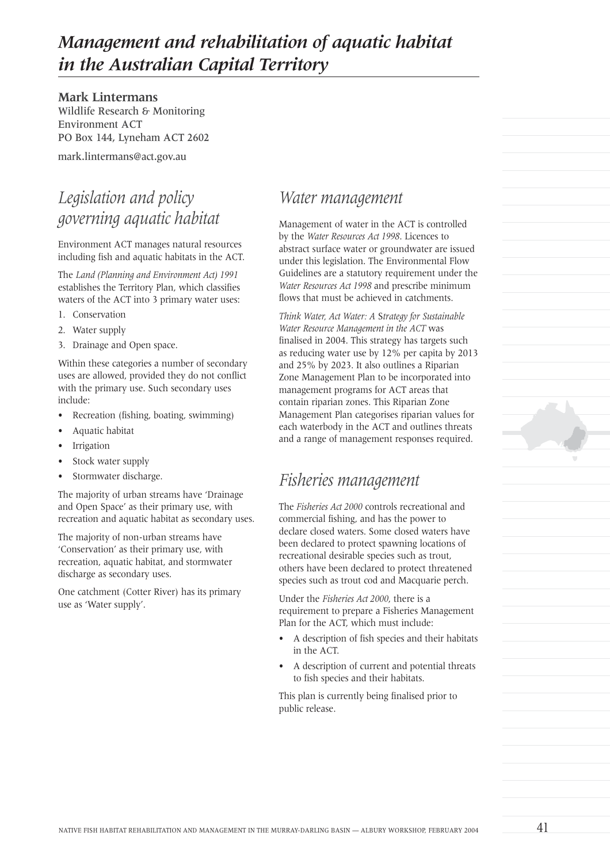# *Management and rehabilitation of aquatic habitat in the Australian Capital Territory*

**Mark Lintermans** Wildlife Research & Monitoring Environment ACT PO Box 144, Lyneham ACT 2602

mark.lintermans@act.gov.au

### *Legislation and policy governing aquatic habitat*

Environment ACT manages natural resources including fish and aquatic habitats in the ACT.

The *Land (Planning and Environment Act) 1991* establishes the Territory Plan, which classifies waters of the ACT into 3 primary water uses:

- 1. Conservation
- 2. Water supply
- 3. Drainage and Open space.

Within these categories a number of secondary uses are allowed, provided they do not conflict with the primary use. Such secondary uses include:

- Recreation (fishing, boating, swimming)
- Aquatic habitat
- **Irrigation**
- Stock water supply
- Stormwater discharge.

The majority of urban streams have 'Drainage and Open Space' as their primary use, with recreation and aquatic habitat as secondary uses.

The majority of non-urban streams have 'Conservation' as their primary use, with recreation, aquatic habitat, and stormwater discharge as secondary uses.

One catchment (Cotter River) has its primary use as 'Water supply'.

#### *Water management*

Management of water in the ACT is controlled by the *Water Resources Act 1998*. Licences to abstract surface water or groundwater are issued under this legislation. The Environmental Flow Guidelines are a statutory requirement under the *Water Resources Act 1998* and prescribe minimum flows that must be achieved in catchments.

*Think Water, Act Water: A* S*trategy for Sustainable Water Resource Management in the ACT* was finalised in 2004. This strategy has targets such as reducing water use by 12% per capita by 2013 and 25% by 2023. It also outlines a Riparian Zone Management Plan to be incorporated into management programs for ACT areas that contain riparian zones. This Riparian Zone Management Plan categorises riparian values for each waterbody in the ACT and outlines threats and a range of management responses required.

### *Fisheries management*

The *Fisheries Act 2000* controls recreational and commercial fishing, and has the power to declare closed waters. Some closed waters have been declared to protect spawning locations of recreational desirable species such as trout, others have been declared to protect threatened species such as trout cod and Macquarie perch.

Under the *Fisheries Act 2000*, there is a requirement to prepare a Fisheries Management Plan for the ACT, which must include:

- A description of fish species and their habitats in the ACT.
- A description of current and potential threats to fish species and their habitats.

This plan is currently being finalised prior to public release.